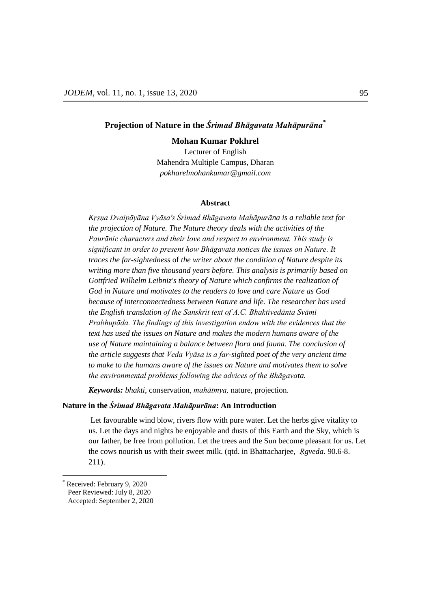# **Projection of Nature in the** *Śrimad Bhāgavata Mahāpurāna\**

### **Mohan Kumar Pokhrel**

Lecturer of English Mahendra Multiple Campus, Dharan *[pokharelmohankumar@gmail.com](mailto:pokharelmohankumar@gmail.com)*

### **Abstract**

Krsna Dvaipāyāna Vyāsa's Śrimad Bhāgavata Mahāpurāna is a reliable text for *the projection of Nature. The Nature theory deals with the activities of the Paurānic characters and their love and respect to environment. This study is significant in order to present how Bhāgavata notices the issues on Nature. It traces the far-sightedness* of *the writer about the condition of Nature despite its writing more than five thousand years before. This analysis is primarily based on Gottfried Wilhelm Leibniz's theory of Nature which confirms the realization of God in Nature and motivates to the readers to love and care Nature as God because of interconnectedness between Nature and life. The researcher has used the English translation of the Sanskrit text of A.C. Bhaktivedānta Svām Prabhupāda. The findings of this investigation endow with the evidences that the text has used the issues on Nature and makes the modern humans aware of the use of Nature maintaining a balance between flora and fauna. The conclusion of the article suggests that Veda Vyāsa is a far-sighted poet of the very ancient time to make to the humans aware of the issues on Nature and motivates them to solve the environmental problems following the advices of the Bhāgavata.*

*Keywords: bhakti*, conservation, *mahātmya,* nature, projection.

### **Nature in the** *Śrimad Bhāgavata Mahāpurāna***: An Introduction**

Let favourable wind blow, rivers flow with pure water. Let the herbs give vitality to us. Let the days and nights be enjoyable and dusts of this Earth and the Sky, which is our father, be free from pollution. Let the trees and the Sun become pleasant for us. Let the cows nourish us with their sweet milk. (qtd. in Bhattacharjee, *Ṛgveda*. 90.6-8. 211).

 $\overline{a}$ 

Received: February 9, 2020 Peer Reviewed: July 8, 2020 Accepted: September 2, 2020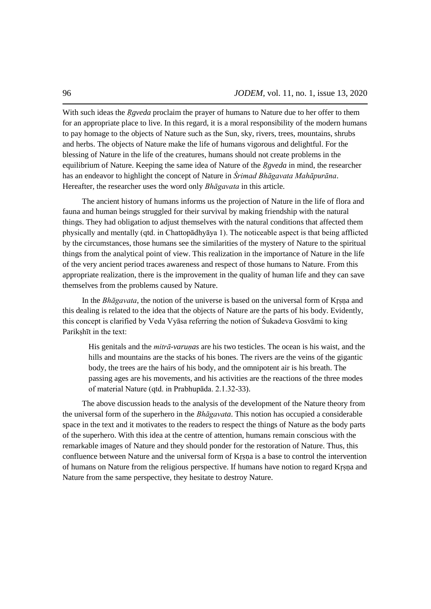With such ideas the *Rgveda* proclaim the prayer of humans to Nature due to her offer to them for an appropriate place to live. In this regard, it is a moral responsibility of the modern humans to pay homage to the objects of Nature such as the Sun, sky, rivers, trees, mountains, shrubs and herbs. The objects of Nature make the life of humans vigorous and delightful. For the blessing of Nature in the life of the creatures, humans should not create problems in the equilibrium of Nature. Keeping the same idea of Nature of the *Ṛgveda* in mind, the researcher has an endeavor to highlight the concept of Nature in *Śrimad Bhāgavata Mahāpurāna*. Hereafter, the researcher uses the word only *Bhāgavata* in this article.

The ancient history of humans informs us the projection of Nature in the life of flora and fauna and human beings struggled for their survival by making friendship with the natural things. They had obligation to adjust themselves with the natural conditions that affected them physically and mentally (qtd. in Chattopādhyāya 1). The noticeable aspect is that being afflicted by the circumstances, those humans see the similarities of the mystery of Nature to the spiritual things from the analytical point of view. This realization in the importance of Nature in the life of the very ancient period traces awareness and respect of those humans to Nature. From this appropriate realization, there is the improvement in the quality of human life and they can save themselves from the problems caused by Nature.

In the *Bhāgavata*, the notion of the universe is based on the universal form of Kṛṣṇa and this dealing is related to the idea that the objects of Nature are the parts of his body. Evidently, this concept is clarified by Veda Vyāsa referring the notion of Śukadeva Gosvāmi to king Parikshīt in the text:

His genitals and the *mitrā-varunas* are his two testicles. The ocean is his waist, and the hills and mountains are the stacks of his bones. The rivers are the veins of the gigantic body, the trees are the hairs of his body, and the omnipotent air is his breath. The passing ages are his movements, and his activities are the reactions of the three modes of material Nature (qtd. in Prabhupāda. 2.1.32-33).

The above discussion heads to the analysis of the development of the Nature theory from the universal form of the superhero in the *Bhāgavata*. This notion has occupied a considerable space in the text and it motivates to the readers to respect the things of Nature as the body parts of the superhero. With this idea at the centre of attention, humans remain conscious with the remarkable images of Nature and they should ponder for the restoration of Nature. Thus, this confluence between Nature and the universal form of Krsna is a base to control the intervention of humans on Nature from the religious perspective. If humans have notion to regard Kṛṣṇa and Nature from the same perspective, they hesitate to destroy Nature.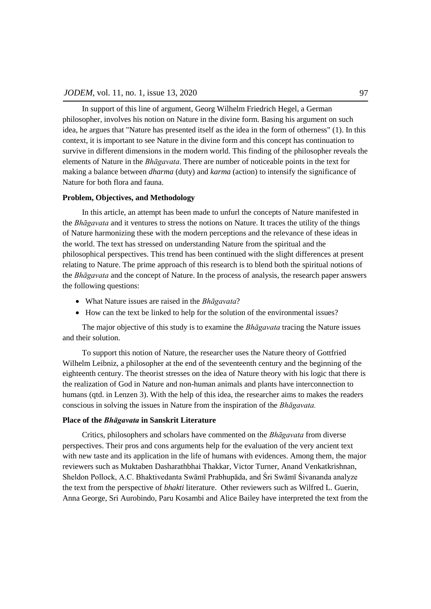In support of this line of argument, Georg Wilhelm Friedrich Hegel, a German philosopher, involves his notion on Nature in the divine form. Basing his argument on such idea, he argues that "Nature has presented itself as the idea in the form of otherness" (1). In this context, it is important to see Nature in the divine form and this concept has continuation to survive in different dimensions in the modern world. This finding of the philosopher reveals the elements of Nature in the *Bhāgavata*. There are number of noticeable points in the text for making a balance between *dharma* (duty) and *karma* (action) to intensify the significance of Nature for both flora and fauna.

#### **Problem, Objectives, and Methodology**

In this article, an attempt has been made to unfurl the concepts of Nature manifested in the *Bhāgavata* and it ventures to stress the notions on Nature. It traces the utility of the things of Nature harmonizing these with the modern perceptions and the relevance of these ideas in the world. The text has stressed on understanding Nature from the spiritual and the philosophical perspectives. This trend has been continued with the slight differences at present relating to Nature. The prime approach of this research is to blend both the spiritual notions of the *Bhāgavata* and the concept of Nature. In the process of analysis, the research paper answers the following questions:

- What Nature issues are raised in the *Bhāgavata*?
- How can the text be linked to help for the solution of the environmental issues?

The major objective of this study is to examine the *Bhāgavata* tracing the Nature issues and their solution.

To support this notion of Nature, the researcher uses the Nature theory of Gottfried Wilhelm Leibniz, a philosopher at the end of the seventeenth century and the beginning of the eighteenth century. The theorist stresses on the idea of Nature theory with his logic that there is the realization of God in Nature and non-human animals and plants have interconnection to humans (qtd. in Lenzen 3). With the help of this idea, the researcher aims to makes the readers conscious in solving the issues in Nature from the inspiration of the *Bhāgavata.*

### **Place of the** *Bhāgavata* **in Sanskrit Literature**

Critics, philosophers and scholars have commented on the *Bhāgavata* from diverse perspectives. Their pros and cons arguments help for the evaluation of the very ancient text with new taste and its application in the life of humans with evidences. Among them, the major reviewers such as Muktaben Dasharathbhai Thakkar, Victor Turner, Anand Venkatkrishnan, Sheldon Pollock, A.C. Bhaktivedanta Swāmī Prabhupāda, and Śri Swāmī Śivananda analyze the text from the perspective of *bhakti* literature. Other reviewers such as Wilfred L. Guerin, Anna George, Sri Aurobindo, Paru Kosambi and Alice Bailey have interpreted the text from the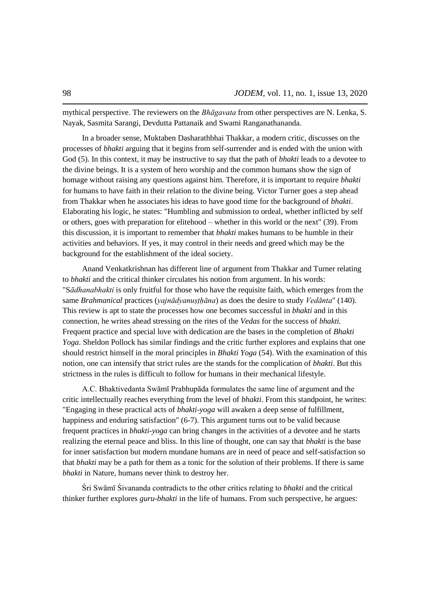mythical perspective. The reviewers on the *Bhāgavata* from other perspectives are N. Lenka, S. Nayak, Sasmita Sarangi, Devdutta Pattanaik and Swami Ranganathananda.

In a broader sense, Muktaben Dasharathbhai Thakkar, a modern critic, discusses on the processes of *bhakti* arguing that it begins from self-surrender and is ended with the union with God (5). In this context, it may be instructive to say that the path of *bhakti* leads to a devotee to the divine beings. It is a system of hero worship and the common humans show the sign of homage without raising any questions against him. Therefore, it is important to require *bhakti* for humans to have faith in their relation to the divine being. Victor Turner goes a step ahead from Thakkar when he associates his ideas to have good time for the background of *bhakti*. Elaborating his logic, he states: "Humbling and submission to ordeal, whether inflicted by self or others, goes with preparation for elitehood – whether in this world or the next" (39). From this discussion, it is important to remember that *bhakti* makes humans to be humble in their activities and behaviors. If yes, it may control in their needs and greed which may be the background for the establishment of the ideal society.

Anand Venkatkrishnan has different line of argument from Thakkar and Turner relating to *bhakti* and the critical thinker circulates his notion from argument. In his words: "S*ādhanabhakti* is only fruitful for those who have the requisite faith, which emerges from the same *Brahmanical* practices (*yajnādyanusthāna*) as does the desire to study *Vedānta*" (140). This review is apt to state the processes how one becomes successful in *bhakti* and in this connection, he writes ahead stressing on the rites of the *Vedas* for the success of *bhakti.* Frequent practice and special love with dedication are the bases in the completion of *Bhakti Yoga*. Sheldon Pollock has similar findings and the critic further explores and explains that one should restrict himself in the moral principles in *Bhakti Yoga* (54). With the examination of this notion, one can intensify that strict rules are the stands for the complication of *bhakti*. But this strictness in the rules is difficult to follow for humans in their mechanical lifestyle.

A.C. Bhaktivedanta Swāmī Prabhupāda formulates the same line of argument and the critic intellectually reaches everything from the level of *bhakti*. From this standpoint, he writes: "Engaging in these practical acts of *bhakti-yoga* will awaken a deep sense of fulfillment, happiness and enduring satisfaction" (6-7). This argument turns out to be valid because frequent practices in *bhakti-yoga* can bring changes in the activities of a devotee and he starts realizing the eternal peace and bliss. In this line of thought, one can say that *bhakti* is the base for inner satisfaction but modern mundane humans are in need of peace and self-satisfaction so that *bhakti* may be a path for them as a tonic for the solution of their problems. If there is same *bhakti* in Nature, humans never think to destroy her.

Śri Swāmī Śivananda contradicts to the other critics relating to *bhakti* and the critical thinker further explores *guru*-*bhakti* in the life of humans. From such perspective, he argues: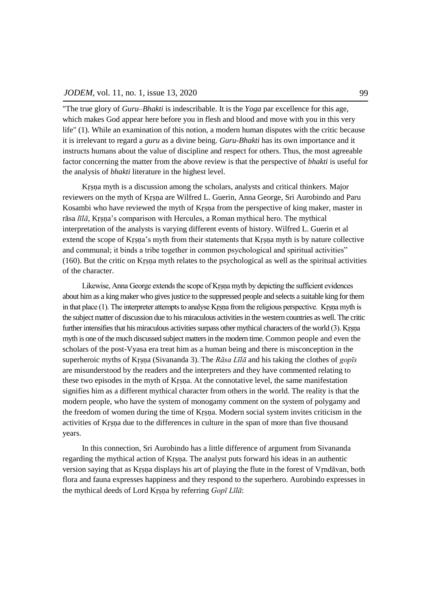"The true glory of *Guru–Bhakti* is indescribable. It is the *Yoga* par excellence for this age, which makes God appear here before you in flesh and blood and move with you in this very life" (1). While an examination of this notion, a modern human disputes with the critic because it is irrelevant to regard a *guru* as a divine being. *Guru-Bhakti* has its own importance and it instructs humans about the value of discipline and respect for others. Thus, the most agreeable factor concerning the matter from the above review is that the perspective of *bhakti* is useful for the analysis of *bhakti* literature in the highest level.

Krsna myth is a discussion among the scholars, analysts and critical thinkers. Major reviewers on the myth of Kṛṣṇa are Wilfred L. Guerin, Anna George, Sri Aurobindo and Paru Kosambi who have reviewed the myth of Kṛṣṇa from the perspective of king maker, master in rāsa *līlā*, Krsna's comparison with Hercules, a Roman mythical hero. The mythical interpretation of the analysts is varying different events of history. Wilfred L. Guerin et al extend the scope of Krsna's myth from their statements that Krsna myth is by nature collective and communal; it binds a tribe together in common psychological and spiritual activities" (160). But the critic on Kṛṣṇa myth relates to the psychological as well as the spiritual activities of the character.

Likewise, Anna George extends the scope of Kṛṣṇa myth by depicting the sufficient evidences about him as a king maker who gives justice to the suppressed people and selects a suitable king for them in that place (1). The interpreter attempts to analyse Krsna from the religious perspective. Krsna myth is the subject matter of discussion due to his miraculous activities in the western countries as well. The critic further intensifies that his miraculous activities surpass other mythical characters of the world (3). Kṛṣṇa myth is one of the much discussed subject matters in the modern time. Common people and even the scholars of the post-Vyasa era treat him as a human being and there is misconception in the superheroic myths of Krsna (Sivananda 3). The *Rāsa Līlā* and his taking the clothes of *gopīs* are misunderstood by the readers and the interpreters and they have commented relating to these two episodes in the myth of Kṛṣṇa. At the connotative level, the same manifestation signifies him as a different mythical character from others in the world. The reality is that the modern people, who have the system of monogamy comment on the system of polygamy and the freedom of women during the time of Kṛṣṇa. Modern social system invites criticism in the activities of Kṛṣṇa due to the differences in culture in the span of more than five thousand years.

In this connection, Sri Aurobindo has a little difference of argument from Sivananda regarding the mythical action of Kṛṣṇa. The analyst puts forward his ideas in an authentic version saying that as Kṛṣṇa displays his art of playing the flute in the forest of Vṛndāvan, both flora and fauna expresses happiness and they respond to the superhero. Aurobindo expresses in the mythical deeds of Lord Krsna by referring *Gopī Līlā*: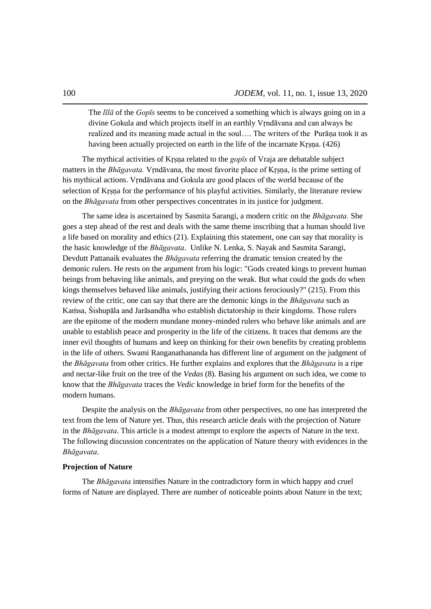The *l*<sub>*ld*</sub> of the *Gopts* seems to be conceived a something which is always going on in a divine Gokula and which projects itself in an earthly Vṛndāvana and can always be realized and its meaning made actual in the soul…. The writers of the Purāṇa took it as having been actually projected on earth in the life of the incarnate Kṛṣṇa. (426)

The mythical activities of Krsna related to the *gopts* of Vraja are debatable subject matters in the *Bhāgavata.* Vṛndāvana, the most favorite place of Kṛṣṇa, is the prime setting of his mythical actions. Vṛndāvana and Gokula are good places of the world because of the selection of Krsna for the performance of his playful activities. Similarly, the literature review on the *Bhāgavata* from other perspectives concentrates in its justice for judgment.

The same idea is ascertained by Sasmita Sarangi, a modern critic on the *Bhāgavata.* She goes a step ahead of the rest and deals with the same theme inscribing that a human should live a life based on morality and ethics (21). Explaining this statement, one can say that morality is the basic knowledge of the *Bhāgavata*. Unlike N. Lenka, S. Nayak and Sasmita Sarangi, Devdutt Pattanaik evaluates the *Bhāgavata* referring the dramatic tension created by the demonic rulers. He rests on the argument from his logic: "Gods created kings to prevent human beings from behaving like animals, and preying on the weak. But what could the gods do when kings themselves behaved like animals, justifying their actions ferociously?" (215). From this review of the critic, one can say that there are the demonic kings in the *Bhāgavata* such as Kaṁsa, Śishupāla and Jarāsandha who establish dictatorship in their kingdoms. Those rulers are the epitome of the modern mundane money-minded rulers who behave like animals and are unable to establish peace and prosperity in the life of the citizens. It traces that demons are the inner evil thoughts of humans and keep on thinking for their own benefits by creating problems in the life of others. Swami Ranganathananda has different line of argument on the judgment of the *Bhāgavata* from other critics. He further explains and explores that the *Bhāgavata* is a ripe and nectar-like fruit on the tree of the *Vedas* (8). Basing his argument on such idea, we come to know that the *Bhāgavata* traces the *Vedic* knowledge in brief form for the benefits of the modern humans.

Despite the analysis on the *Bhāgavata* from other perspectives, no one has interpreted the text from the lens of Nature yet. Thus, this research article deals with the projection of Nature in the *Bhāgavata*. This article is a modest attempt to explore the aspects of Nature in the text. The following discussion concentrates on the application of Nature theory with evidences in the *Bhāgavata*.

### **Projection of Nature**

The *Bhāgavata* intensifies Nature in the contradictory form in which happy and cruel forms of Nature are displayed. There are number of noticeable points about Nature in the text;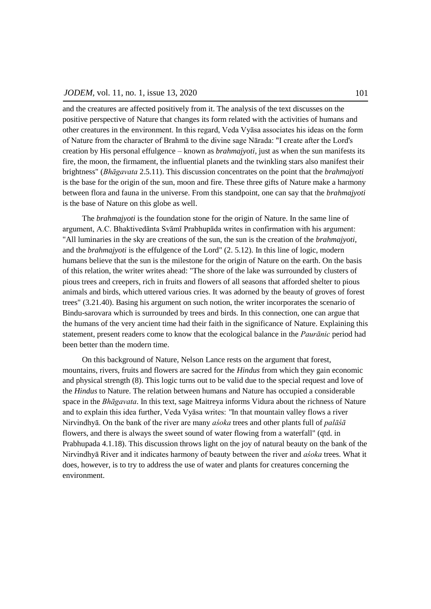and the creatures are affected positively from it. The analysis of the text discusses on the positive perspective of Nature that changes its form related with the activities of humans and other creatures in the environment. In this regard, Veda Vyāsa associates his ideas on the form of Nature from the character of Brahmā to the divine sage Nārada: "I create after the Lord's creation by His personal effulgence – known as *brahmajyoti*, just as when the sun manifests its fire, the moon, the firmament, the influential planets and the twinkling stars also manifest their brightness" (*Bhāgavata* 2.5.11). This discussion concentrates on the point that the *brahmajyoti* is the base for the origin of the sun, moon and fire. These three gifts of Nature make a harmony between flora and fauna in the universe. From this standpoint, one can say that the *brahmajyoti* is the base of Nature on this globe as well.

The *brahmajyoti* is the foundation stone for the origin of Nature. In the same line of argument, A.C. Bhaktivedānta Svāmī Prabhupāda writes in confirmation with his argument: "All luminaries in the sky are creations of the sun, the sun is the creation of the *brahmajyoti*, and the *brahmajyoti* is the effulgence of the Lord" (2. 5.12). In this line of logic, modern humans believe that the sun is the milestone for the origin of Nature on the earth. On the basis of this relation, the writer writes ahead: "The shore of the lake was surrounded by clusters of pious trees and creepers, rich in fruits and flowers of all seasons that afforded shelter to pious animals and birds, which uttered various cries. It was adorned by the beauty of groves of forest trees" (3.21.40). Basing his argument on such notion, the writer incorporates the scenario of Bindu-sarovara which is surrounded by trees and birds. In this connection, one can argue that the humans of the very ancient time had their faith in the significance of Nature. Explaining this statement, present readers come to know that the ecological balance in the *Paurānic* period had been better than the modern time.

On this background of Nature, Nelson Lance rests on the argument that forest, mountains, rivers, fruits and flowers are sacred for the *Hindus* from which they gain economic and physical strength (8). This logic turns out to be valid due to the special request and love of the *Hindus* to Nature. The relation between humans and Nature has occupied a considerable space in the *Bhāgavata*. In this text, sage Maitreya informs Vidura about the richness of Nature and to explain this idea further, Veda Vyāsa writes: *"*In that mountain valley flows a river Nirvindhyā. On the bank of the river are many *aśoka* trees and other plants full of *palāśā* flowers, and there is always the sweet sound of water flowing from a waterfall" (qtd. in Prabhupada 4.1.18). This discussion throws light on the joy of natural beauty on the bank of the Nirvindhyā River and it indicates harmony of beauty between the river and *aśoka* trees. What it does, however, is to try to address the use of water and plants for creatures concerning the environment.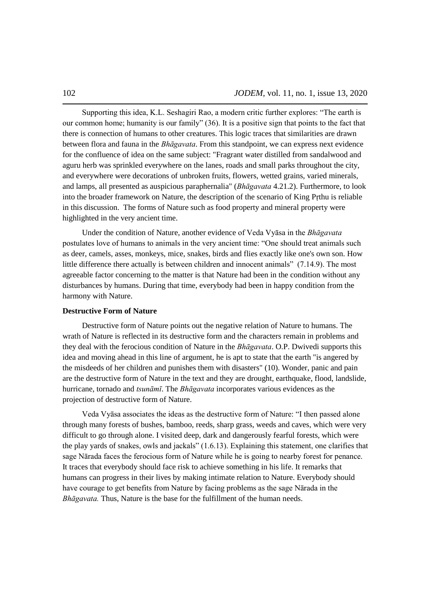Supporting this idea, K.L. Seshagiri Rao, a modern critic further explores: "The earth is our common home; humanity is our family"  $(36)$ . It is a positive sign that points to the fact that there is connection of humans to other creatures. This logic traces that similarities are drawn between flora and fauna in the *Bhāgavata*. From this standpoint, we can express next evidence for the confluence of idea on the same subject: "Fragrant water distilled from sandalwood and aguru herb was sprinkled everywhere on the lanes, roads and small parks throughout the city, and everywhere were decorations of unbroken fruits, flowers, wetted grains, varied minerals, and lamps, all presented as auspicious paraphernalia" (*Bhāgavata* 4.21.2). Furthermore, to look into the broader framework on Nature, the description of the scenario of King Pṛthu is reliable in this discussion. The forms of Nature such as food property and mineral property were highlighted in the very ancient time.

Under the condition of Nature, another evidence of Veda Vyāsa in the *Bhāgavata* postulates love of humans to animals in the very ancient time: "One should treat animals such as deer, camels, asses, monkeys, mice, snakes, birds and flies exactly like one's own son. How little difference there actually is between children and innocent animals" (7.14.9). The most agreeable factor concerning to the matter is that Nature had been in the condition without any disturbances by humans. During that time, everybody had been in happy condition from the harmony with Nature.

#### **Destructive Form of Nature**

Destructive form of Nature points out the negative relation of Nature to humans. The wrath of Nature is reflected in its destructive form and the characters remain in problems and they deal with the ferocious condition of Nature in the *Bhāgavata*. O.P. Dwivedi supports this idea and moving ahead in this line of argument, he is apt to state that the earth "is angered by the misdeeds of her children and punishes them with disasters" (10). Wonder, panic and pain are the destructive form of Nature in the text and they are drought, earthquake, flood, landslide, hurricane, tornado and *tsunāmī*. The *Bhāgavata* incorporates various evidences as the projection of destructive form of Nature.

Veda Vyāsa associates the ideas as the destructive form of Nature: "I then passed alone through many forests of bushes, bamboo, reeds, sharp grass, weeds and caves, which were very difficult to go through alone. I visited deep, dark and dangerously fearful forests, which were the play yards of snakes, owls and jackals"  $(1.6.13)$ . Explaining this statement, one clarifies that sage Nārada faces the ferocious form of Nature while he is going to nearby forest for penance. It traces that everybody should face risk to achieve something in his life. It remarks that humans can progress in their lives by making intimate relation to Nature. Everybody should have courage to get benefits from Nature by facing problems as the sage Nārada in the *Bhāgavata.* Thus, Nature is the base for the fulfillment of the human needs.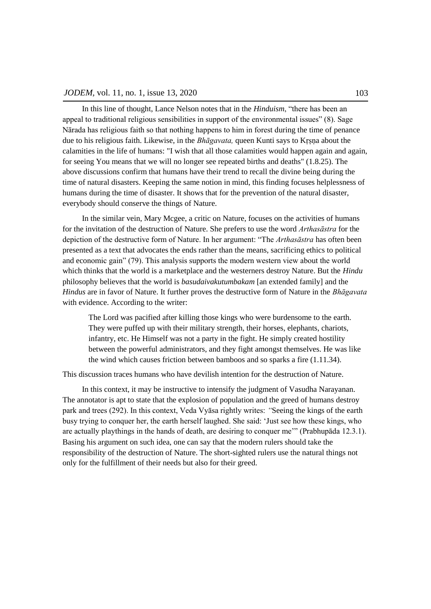In this line of thought, Lance Nelson notes that in the *Hinduism*, "there has been an appeal to traditional religious sensibilities in support of the environmental issues"  $(8)$ . Sage Nārada has religious faith so that nothing happens to him in forest during the time of penance due to his religious faith. Likewise, in the *Bhāgavata*, queen Kunti says to Krsna about the calamities in the life of humans: "I wish that all those calamities would happen again and again, for seeing You means that we will no longer see repeated births and deaths" (1.8.25). The above discussions confirm that humans have their trend to recall the divine being during the time of natural disasters. Keeping the same notion in mind, this finding focuses helplessness of humans during the time of disaster. It shows that for the prevention of the natural disaster, everybody should conserve the things of Nature.

In the similar vein, Mary Mcgee, a critic on Nature, focuses on the activities of humans for the invitation of the destruction of Nature. She prefers to use the word *Arthasāstra* for the depiction of the destructive form of Nature. In her argument: "The *Arthasāstra* has often been presented as a text that advocates the ends rather than the means, sacrificing ethics to political and economic gain" (79). This analysis supports the modern western view about the world which thinks that the world is a marketplace and the westerners destroy Nature. But the *Hindu*  philosophy believes that the world is *basudaivakutumbakam* [an extended family] and the *Hindus* are in favor of Nature. It further proves the destructive form of Nature in the *Bhāgavata* with evidence. According to the writer:

The Lord was pacified after killing those kings who were burdensome to the earth. They were puffed up with their military strength, their horses, elephants, chariots, infantry, etc. He Himself was not a party in the fight. He simply created hostility between the powerful administrators, and they fight amongst themselves. He was like the wind which causes friction between bamboos and so sparks a fire (1.11.34).

This discussion traces humans who have devilish intention for the destruction of Nature.

In this context, it may be instructive to intensify the judgment of Vasudha Narayanan. The annotator is apt to state that the explosion of population and the greed of humans destroy park and trees (292). In this context, Veda Vyāsa rightly writes: *"*Seeing the kings of the earth busy trying to conquer her, the earth herself laughed. She said: ‗Just see how these kings, who are actually playthings in the hands of death, are desiring to conquer me'" (Prabhupāda 12.3.1). Basing his argument on such idea, one can say that the modern rulers should take the responsibility of the destruction of Nature. The short-sighted rulers use the natural things not only for the fulfillment of their needs but also for their greed.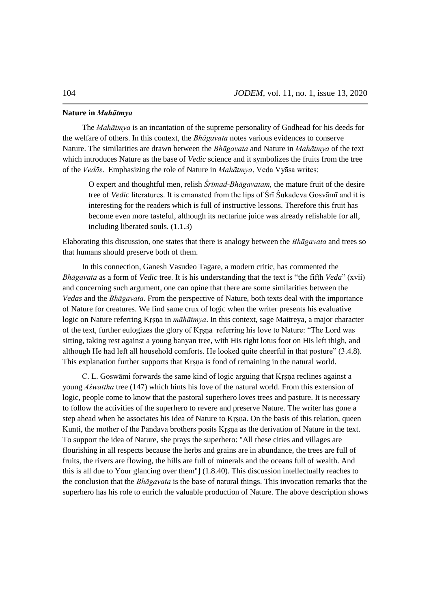### **Nature in** *Mahātmya*

The *Mahātmya* is an incantation of the supreme personality of Godhead for his deeds for the welfare of others. In this context, the *Bhāgavata* notes various evidences to conserve Nature. The similarities are drawn between the *Bhāgavata* and Nature in *Mahātmya* of the text which introduces Nature as the base of *Vedic* science and it symbolizes the fruits from the tree of the *Vedās*. Emphasizing the role of Nature in *Mahātmya*, Veda Vyāsa writes:

O expert and thoughtful men, relish *Śrīmad-Bhāgavatam*, the mature fruit of the desire tree of *Vedic* literatures. It is emanated from the lips of Śrī Śukadeva Gosvāmī and it is interesting for the readers which is full of instructive lessons. Therefore this fruit has become even more tasteful, although its nectarine juice was already relishable for all, including liberated souls. (1.1.3)

Elaborating this discussion, one states that there is analogy between the *Bhāgavata* and trees so that humans should preserve both of them.

In this connection, Ganesh Vasudeo Tagare, a modern critic, has commented the *Bhāgavata* as a form of *Vedic* tree. It is his understanding that the text is "the fifth *Veda*" (xvii) and concerning such argument, one can opine that there are some similarities between the *Vedas* and the *Bhāgavata*. From the perspective of Nature, both texts deal with the importance of Nature for creatures. We find same crux of logic when the writer presents his evaluative logic on Nature referring Kṛṣṇa in *māhātmya*. In this context, sage Maitreya, a major character of the text, further eulogizes the glory of Krsna referring his love to Nature: "The Lord was sitting, taking rest against a young banyan tree, with His right lotus foot on His left thigh, and although He had left all household comforts. He looked quite cheerful in that posture" (3.4.8). This explanation further supports that Krsna is fond of remaining in the natural world.

C. L. Goswāmi forwards the same kind of logic arguing that Kṛṣṇa reclines against a young *Aśwattha* tree (147) which hints his love of the natural world. From this extension of logic, people come to know that the pastoral superhero loves trees and pasture. It is necessary to follow the activities of the superhero to revere and preserve Nature. The writer has gone a step ahead when he associates his idea of Nature to Krsna. On the basis of this relation, queen Kunti, the mother of the Pāndava brothers posits Kṛṣṇa as the derivation of Nature in the text. To support the idea of Nature, she prays the superhero: "All these cities and villages are flourishing in all respects because the herbs and grains are in abundance, the trees are full of fruits, the rivers are flowing, the hills are full of minerals and the oceans full of wealth. And this is all due to Your glancing over them"] (1.8.40). This discussion intellectually reaches to the conclusion that the *Bhāgavata* is the base of natural things. This invocation remarks that the superhero has his role to enrich the valuable production of Nature. The above description shows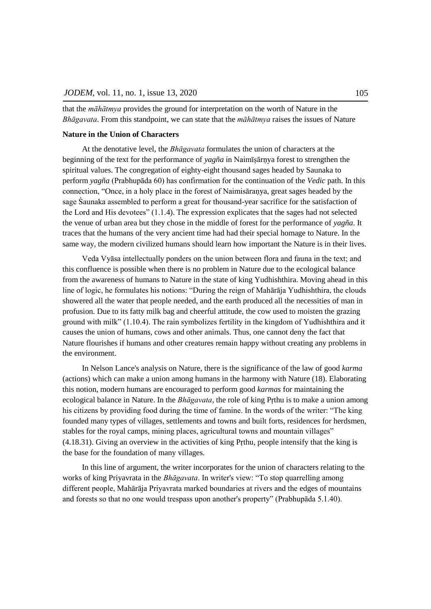that the *māhātmya* provides the ground for interpretation on the worth of Nature in the *Bhāgavata*. From this standpoint, we can state that the *māhātmya* raises the issues of Nature

#### **Nature in the Union of Characters**

At the denotative level, the *Bhāgavata* formulates the union of characters at the beginning of the text for the performance of *yagña* in Naimīṣārṇya forest to strengthen the spiritual values. The congregation of eighty-eight thousand sages headed by Saunaka to perform *yagña* (Prabhupāda 60) has confirmation for the continuation of the *Vedic* path. In this connection, "Once, in a holy place in the forest of Naimisāranya, great sages headed by the sage Śaunaka assembled to perform a great for thousand-year sacrifice for the satisfaction of the Lord and His devotees"  $(1.1.4)$ . The expression explicates that the sages had not selected the venue of urban area but they chose in the middle of forest for the performance of *yagña*. It traces that the humans of the very ancient time had had their special homage to Nature. In the same way, the modern civilized humans should learn how important the Nature is in their lives.

Veda Vyāsa intellectually ponders on the union between flora and fauna in the text; and this confluence is possible when there is no problem in Nature due to the ecological balance from the awareness of humans to Nature in the state of king Yudhishthira. Moving ahead in this line of logic, he formulates his notions: "During the reign of Maharaja Yudhishthira, the clouds showered all the water that people needed, and the earth produced all the necessities of man in profusion. Due to its fatty milk bag and cheerful attitude, the cow used to moisten the grazing ground with milk"  $(1.10.4)$ . The rain symbolizes fertility in the kingdom of Yudhishthira and it causes the union of humans, cows and other animals. Thus, one cannot deny the fact that Nature flourishes if humans and other creatures remain happy without creating any problems in the environment.

In Nelson Lance's analysis on Nature, there is the significance of the law of good *karma*  (actions) which can make a union among humans in the harmony with Nature (18). Elaborating this notion, modern humans are encouraged to perform good *karmas* for maintaining the ecological balance in Nature. In the *Bhāgavata*, the role of king Pṛthu is to make a union among his citizens by providing food during the time of famine. In the words of the writer: "The king founded many types of villages, settlements and towns and built forts, residences for herdsmen, stables for the royal camps, mining places, agricultural towns and mountain villages" (4.18.31). Giving an overview in the activities of king Pṛthu, people intensify that the king is the base for the foundation of many villages.

In this line of argument, the writer incorporates for the union of characters relating to the works of king Priyavrata in the *Bhāgavata*. In writer's view: "To stop quarrelling among different people, Mahārāja Priyavrata marked boundaries at rivers and the edges of mountains and forests so that no one would trespass upon another's property" (Prabhupāda 5.1.40).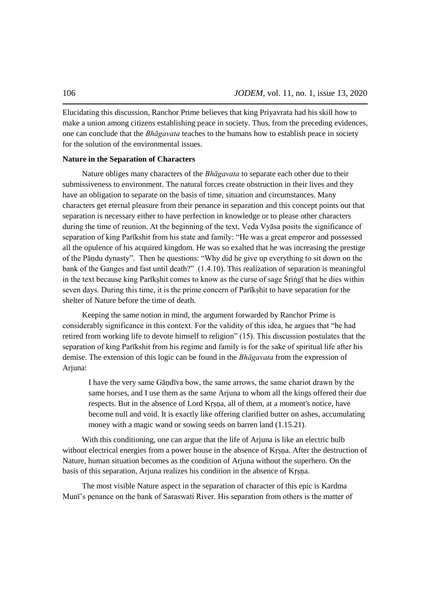Elucidating this discussion, Ranchor Prime believes that king Priyavrata had his skill how to make a union among citizens establishing peace in society. Thus, from the preceding evidences, one can conclude that the *Bhāgavata* teaches to the humans how to establish peace in society for the solution of the environmental issues.

### **Nature in the Separation of Characters**

Nature obliges many characters of the *Bhāgavata* to separate each other due to their submissiveness to environment. The natural forces create obstruction in their lives and they have an obligation to separate on the basis of time, situation and circumstances. Many characters get eternal pleasure from their penance in separation and this concept points out that separation is necessary either to have perfection in knowledge or to please other characters during the time of reunion. At the beginning of the text, Veda Vyāsa posits the significance of separation of king Parikshit from his state and family: "He was a great emperor and possessed all the opulence of his acquired kingdom. He was so exalted that he was increasing the prestige of the Pāndu dynasty". Then he questions: "Why did he give up everything to sit down on the bank of the Ganges and fast until death?" (1.4.10). This realization of separation is meaningful in the text because king Parīkṣhit comes to know as the curse of sage Śṛiṅgī that he dies within seven days. During this time, it is the prime concern of Parīkṣhit to have separation for the shelter of Nature before the time of death.

Keeping the same notion in mind, the argument forwarded by Ranchor Prime is considerably significance in this context. For the validity of this idea, he argues that "he had retired from working life to devote himself to religion" (15). This discussion postulates that the separation of king Parīkshit from his regime and family is for the sake of spiritual life after his demise. The extension of this logic can be found in the *Bhāgavata* from the expression of Arjuna:

I have the very same Gāṇdīva bow, the same arrows, the same chariot drawn by the same horses, and I use them as the same Arjuna to whom all the kings offered their due respects. But in the absence of Lord Kṛṣṇa, all of them, at a moment's notice, have become null and void. It is exactly like offering clarified butter on ashes, accumulating money with a magic wand or sowing seeds on barren land (1.15.21).

With this conditioning, one can argue that the life of Arjuna is like an electric bulb without electrical energies from a power house in the absence of Krsna. After the destruction of Nature, human situation becomes as the condition of Arjuna without the superhero. On the basis of this separation, Arjuna realizes his condition in the absence of Krsna.

The most visible Nature aspect in the separation of character of this epic is Kardma Munī's penance on the bank of Saraswati River. His separation from others is the matter of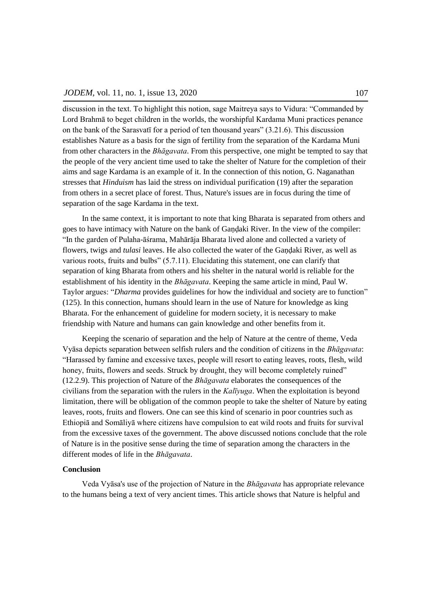discussion in the text. To highlight this notion, sage Maitreya says to Vidura: "Commanded by Lord Brahmā to beget children in the worlds, the worshipful Kardama Muni practices penance on the bank of the Sarasvatī for a period of ten thousand years" (3.21.6). This discussion establishes Nature as a basis for the sign of fertility from the separation of the Kardama Muni from other characters in the *Bhāgavata*. From this perspective, one might be tempted to say that the people of the very ancient time used to take the shelter of Nature for the completion of their aims and sage Kardama is an example of it. In the connection of this notion, G. Naganathan stresses that *Hinduism* has laid the stress on individual purification (19) after the separation from others in a secret place of forest. Thus, Nature's issues are in focus during the time of separation of the sage Kardama in the text.

In the same context, it is important to note that king Bharata is separated from others and goes to have intimacy with Nature on the bank of Gandaki River. In the view of the compiler: ―In the garden of Pulaha-āśrama, Mahārāja Bharata lived alone and collected a variety of flowers, twigs and *tulasi* leaves. He also collected the water of the Gandaki River, as well as various roots, fruits and bulbs"  $(5.7.11)$ . Elucidating this statement, one can clarify that separation of king Bharata from others and his shelter in the natural world is reliable for the establishment of his identity in the *Bhāgavata*. Keeping the same article in mind, Paul W. Taylor argues: "*Dharma* provides guidelines for how the individual and society are to function" (125). In this connection, humans should learn in the use of Nature for knowledge as king Bharata. For the enhancement of guideline for modern society, it is necessary to make friendship with Nature and humans can gain knowledge and other benefits from it.

Keeping the scenario of separation and the help of Nature at the centre of theme, Veda Vyāsa depicts separation between selfish rulers and the condition of citizens in the *Bhāgavata*: ―Harassed by famine and excessive taxes, people will resort to eating leaves, roots, flesh, wild honey, fruits, flowers and seeds. Struck by drought, they will become completely ruined" (12.2.9). This projection of Nature of the *Bhāgavata* elaborates the consequences of the civilians from the separation with the rulers in the *Kalīyuga*. When the exploitation is beyond limitation, there will be obligation of the common people to take the shelter of Nature by eating leaves, roots, fruits and flowers. One can see this kind of scenario in poor countries such as Ethiopiā and Somāliyā where citizens have compulsion to eat wild roots and fruits for survival from the excessive taxes of the government. The above discussed notions conclude that the role of Nature is in the positive sense during the time of separation among the characters in the different modes of life in the *Bhāgavata*.

### **Conclusion**

Veda Vyāsa's use of the projection of Nature in the *Bhāgavata* has appropriate relevance to the humans being a text of very ancient times. This article shows that Nature is helpful and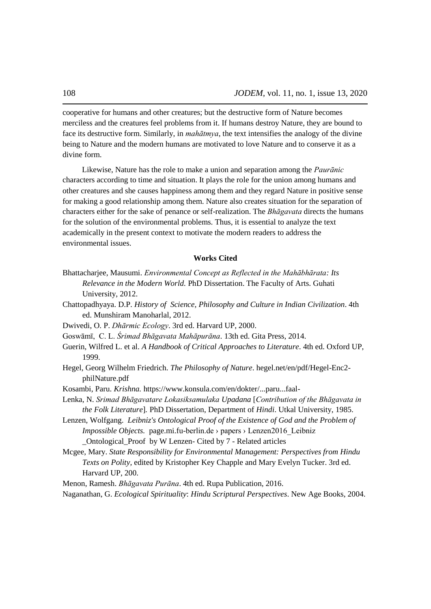cooperative for humans and other creatures; but the destructive form of Nature becomes merciless and the creatures feel problems from it. If humans destroy Nature, they are bound to face its destructive form. Similarly, in *mahātmya*, the text intensifies the analogy of the divine being to Nature and the modern humans are motivated to love Nature and to conserve it as a divine form.

Likewise, Nature has the role to make a union and separation among the *Paurānic*  characters according to time and situation. It plays the role for the union among humans and other creatures and she causes happiness among them and they regard Nature in positive sense for making a good relationship among them. Nature also creates situation for the separation of characters either for the sake of penance or self-realization. The *Bhāgavata* directs the humans for the solution of the environmental problems. Thus, it is essential to analyze the text academically in the present context to motivate the modern readers to address the environmental issues.

## **Works Cited**

- Bhattacharjee, Mausumi. *Environmental Concept as Reflected in the Mahābhārata: Its Relevance in the Modern World.* PhD Dissertation. The Faculty of Arts. Guhati University, 2012.
- Chattopadhyaya. D.P. *History of Science, Philosophy and Culture in Indian Civilization*. 4th ed. Munshiram Manoharlal, 2012.
- Dwivedi, O. P. *Dhārmic Ecology*. 3rd ed. Harvard UP, 2000.
- Goswāmī, C. L. *Śrimad Bhāgavata Mahāpurāna*. 13th ed. Gita Press, 2014.
- Guerin, Wilfred L. et al. *A Handbook of Critical Approaches to Literature*. 4th ed. Oxford UP, 1999.
- Hegel, Georg Wilhelm Friedrich. *The Philosophy of Nature*. hegel.net/en/pdf/Hegel-Enc2 philNature.pdf
- Kosambi, Paru. *Krishna.* https://www.konsula.com/en/dokter/...paru...faal-
- Lenka, N. *Srimad Bhāgavatare Lokasiksamulaka Upadana* [*Contribution of the Bhāgavata in the Folk Literature*]*.* PhD Dissertation, Department of *Hindi*. Utkal University, 1985.
- Lenzen, Wolfgang. *Leibniz's Ontological Proof of the Existence of God and the Problem of Impossible Objects.* page.mi.fu-berlin.de > papers > Lenzen2016 Leibniz [\\_Ontological\\_Proof by W Lenzen-](http://page.mi.fu-berlin.de/cbenzmueller/papers/Lenzen2016_Leibniz_Ontological_Proof.pdf) [Cited by 7](https://scholar.google.com/scholar?sxsrf=ACYBGNSXySTHrwxtLuIwme31QPztu4b32A:1577910416595&uact=5&um=1&ie=UTF-8&lr&cites=12711014953403932328) - [Related articles](https://scholar.google.com/scholar?sxsrf=ACYBGNSXySTHrwxtLuIwme31QPztu4b32A:1577910416595&uact=5&um=1&ie=UTF-8&lr&q=related:qN5RGMGYZrBf7M:scholar.google.com/)
- Mcgee, Mary. *[State Responsibility for Environmental Management: Perspectives from Hindu](http://page.mi.fu-berlin.de/cbenzmueller/papers/Lenzen2016_Leibniz_Ontological_Proof.pdf)  Texts on Polity,* edited by [Kristopher Key Chapple and Mary Evelyn Tucker. 3rd ed.](http://page.mi.fu-berlin.de/cbenzmueller/papers/Lenzen2016_Leibniz_Ontological_Proof.pdf)  [Harvard UP, 200.](http://page.mi.fu-berlin.de/cbenzmueller/papers/Lenzen2016_Leibniz_Ontological_Proof.pdf)
- Menon, Ramesh. *Bhāgavata Purāna*[. 4th ed. Rupa Publication, 2016.](http://page.mi.fu-berlin.de/cbenzmueller/papers/Lenzen2016_Leibniz_Ontological_Proof.pdf)

Naganathan, G. *Ecological Spirituality*: *[Hindu Scriptural Perspectives](http://page.mi.fu-berlin.de/cbenzmueller/papers/Lenzen2016_Leibniz_Ontological_Proof.pdf)*. New Age Books, 2004.